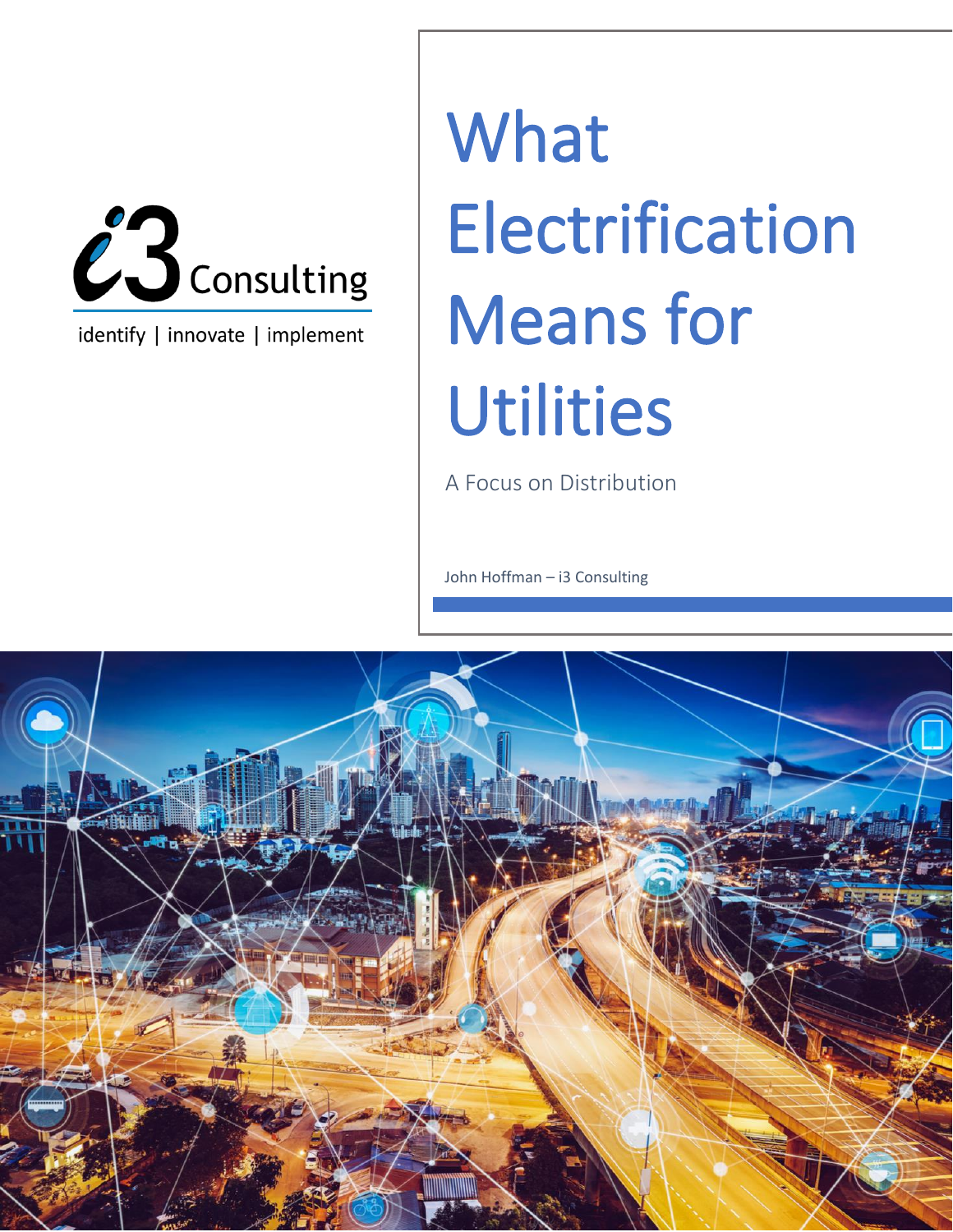

identify | innovate | implement

## **What** Electrification Means for **Utilities**

A Focus on Distribution

John Hoffman – i3 Consulting

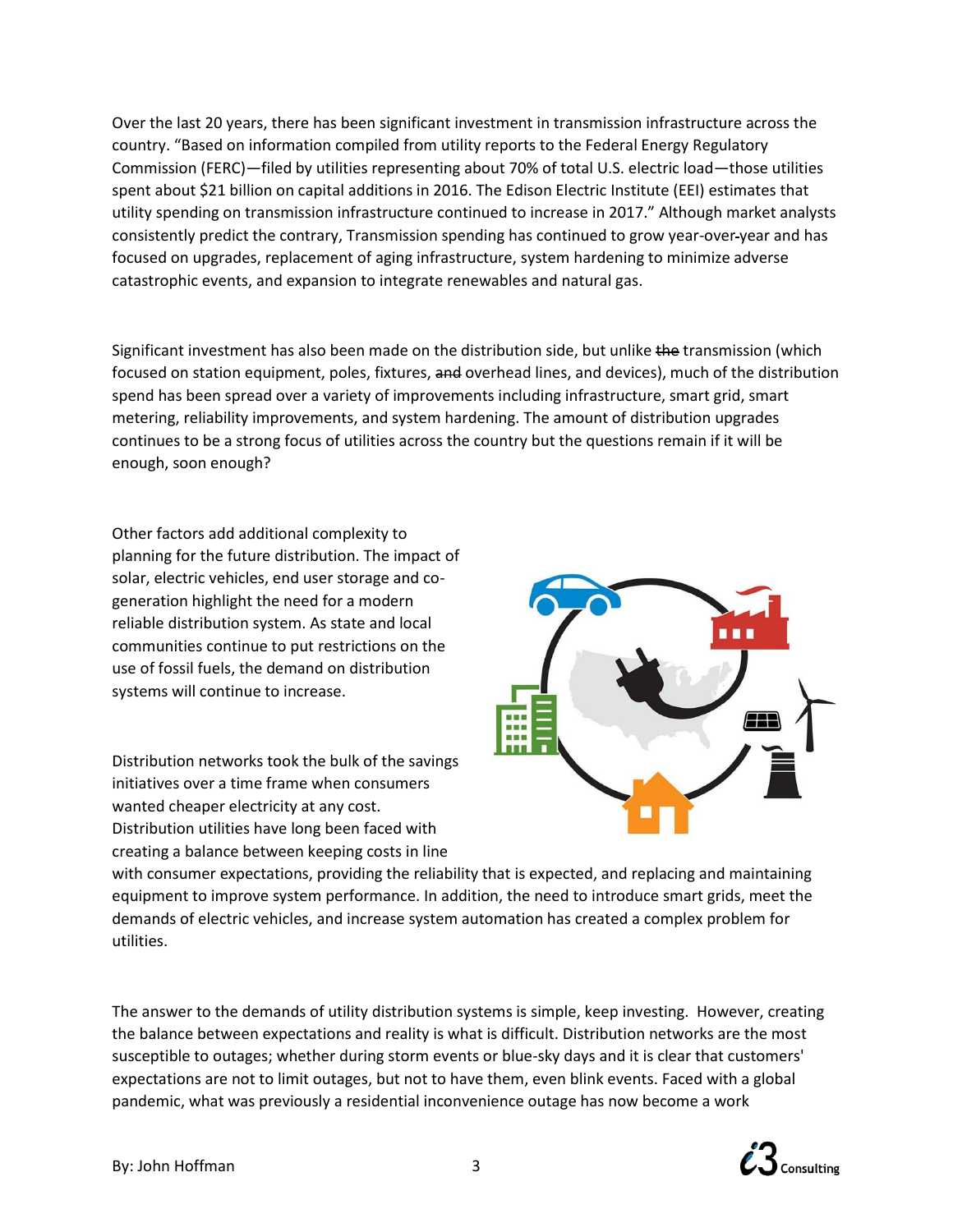Over the last 20 years, there has been significant investment in transmission infrastructure across the country. "Based on information compiled from utility reports to the Federal Energy Regulatory Commission (FERC)—filed by utilities representing about 70% of total U.S. electric load—those utilities spent about \$21 billion on capital additions in 2016. The Edison Electric Institute (EEI) estimates that utility spending on transmission infrastructure continued to increase in 2017." Although market analysts consistently predict the contrary, Transmission spending has continued to grow year-over year and has focused on upgrades, replacement of aging infrastructure, system hardening to minimize adverse catastrophic events, and expansion to integrate renewables and natural gas.

Significant investment has also been made on the distribution side, but unlike the transmission (which focused on station equipment, poles, fixtures, and overhead lines, and devices), much of the distribution spend has been spread over a variety of improvements including infrastructure, smart grid, smart metering, reliability improvements, and system hardening. The amount of distribution upgrades continues to be a strong focus of utilities across the country but the questions remain if it will be enough, soon enough?

Other factors add additional complexity to planning for the future distribution. The impact of solar, electric vehicles, end user storage and cogeneration highlight the need for a modern reliable distribution system. As state and local communities continue to put restrictions on the use of fossil fuels, the demand on distribution systems will continue to increase.

Distribution networks took the bulk of the savings initiatives over a time frame when consumers wanted cheaper electricity at any cost. Distribution utilities have long been faced with creating a balance between keeping costs in line



with consumer expectations, providing the reliability that is expected, and replacing and maintaining equipment to improve system performance. In addition, the need to introduce smart grids, meet the demands of electric vehicles, and increase system automation has created a complex problem for utilities.

The answer to the demands of utility distribution systems is simple, keep investing. However, creating the balance between expectations and reality is what is difficult. Distribution networks are the most susceptible to outages; whether during storm events or blue-sky days and it is clear that customers' expectations are not to limit outages, but not to have them, even blink events. Faced with a global pandemic, what was previously a residential inconvenience outage has now become a work